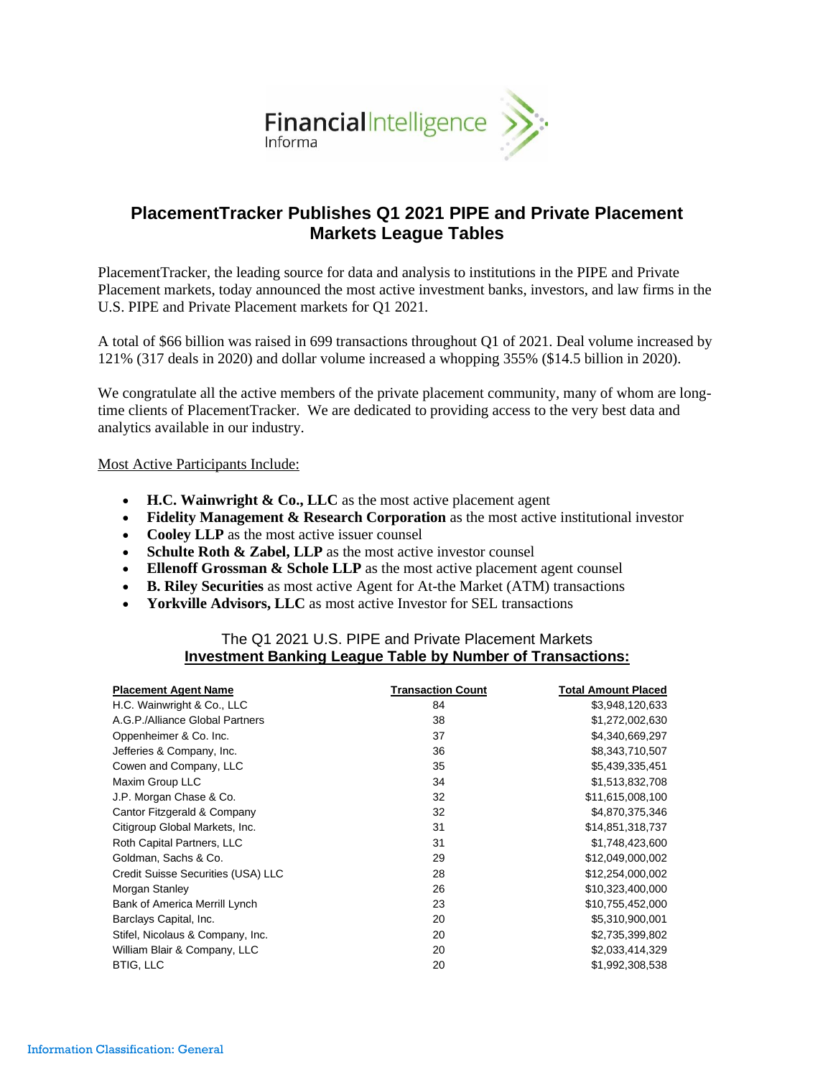

# **PlacementTracker Publishes Q1 2021 PIPE and Private Placement Markets League Tables**

PlacementTracker, the leading source for data and analysis to institutions in the PIPE and Private Placement markets, today announced the most active investment banks, investors, and law firms in the U.S. PIPE and Private Placement markets for Q1 2021.

A total of \$66 billion was raised in 699 transactions throughout Q1 of 2021. Deal volume increased by 121% (317 deals in 2020) and dollar volume increased a whopping 355% (\$14.5 billion in 2020).

We congratulate all the active members of the private placement community, many of whom are longtime clients of PlacementTracker. We are dedicated to providing access to the very best data and analytics available in our industry.

Most Active Participants Include:

- **H.C. Wainwright & Co., LLC** as the most active placement agent
- **Fidelity Management & Research Corporation** as the most active institutional investor
- **Cooley LLP** as the most active issuer counsel
- **Schulte Roth & Zabel, LLP** as the most active investor counsel
- **Ellenoff Grossman & Schole LLP** as the most active placement agent counsel
- **B. Riley Securities** as most active Agent for At-the Market (ATM) transactions
- **Yorkville Advisors, LLC** as most active Investor for SEL transactions

## The Q1 2021 U.S. PIPE and Private Placement Markets **Investment Banking League Table by Number of Transactions:**

| <b>Placement Agent Name</b>        | <b>Transaction Count</b> | <b>Total Amount Placed</b> |
|------------------------------------|--------------------------|----------------------------|
| H.C. Wainwright & Co., LLC         | 84                       | \$3,948,120,633            |
| A.G.P./Alliance Global Partners    | 38                       | \$1,272,002,630            |
| Oppenheimer & Co. Inc.             | 37                       | \$4,340,669,297            |
| Jefferies & Company, Inc.          | 36                       | \$8,343,710,507            |
| Cowen and Company, LLC             | 35                       | \$5,439,335,451            |
| Maxim Group LLC                    | 34                       | \$1,513,832,708            |
| J.P. Morgan Chase & Co.            | 32                       | \$11,615,008,100           |
| Cantor Fitzgerald & Company        | 32                       | \$4,870,375,346            |
| Citigroup Global Markets, Inc.     | 31                       | \$14,851,318,737           |
| Roth Capital Partners, LLC         | 31                       | \$1,748,423,600            |
| Goldman, Sachs & Co.               | 29                       | \$12,049,000,002           |
| Credit Suisse Securities (USA) LLC | 28                       | \$12,254,000,002           |
| Morgan Stanley                     | 26                       | \$10,323,400,000           |
| Bank of America Merrill Lynch      | 23                       | \$10,755,452,000           |
| Barclays Capital, Inc.             | 20                       | \$5,310,900,001            |
| Stifel, Nicolaus & Company, Inc.   | 20                       | \$2,735,399,802            |
| William Blair & Company, LLC       | 20                       | \$2,033,414,329            |
| <b>BTIG, LLC</b>                   | 20                       | \$1,992,308,538            |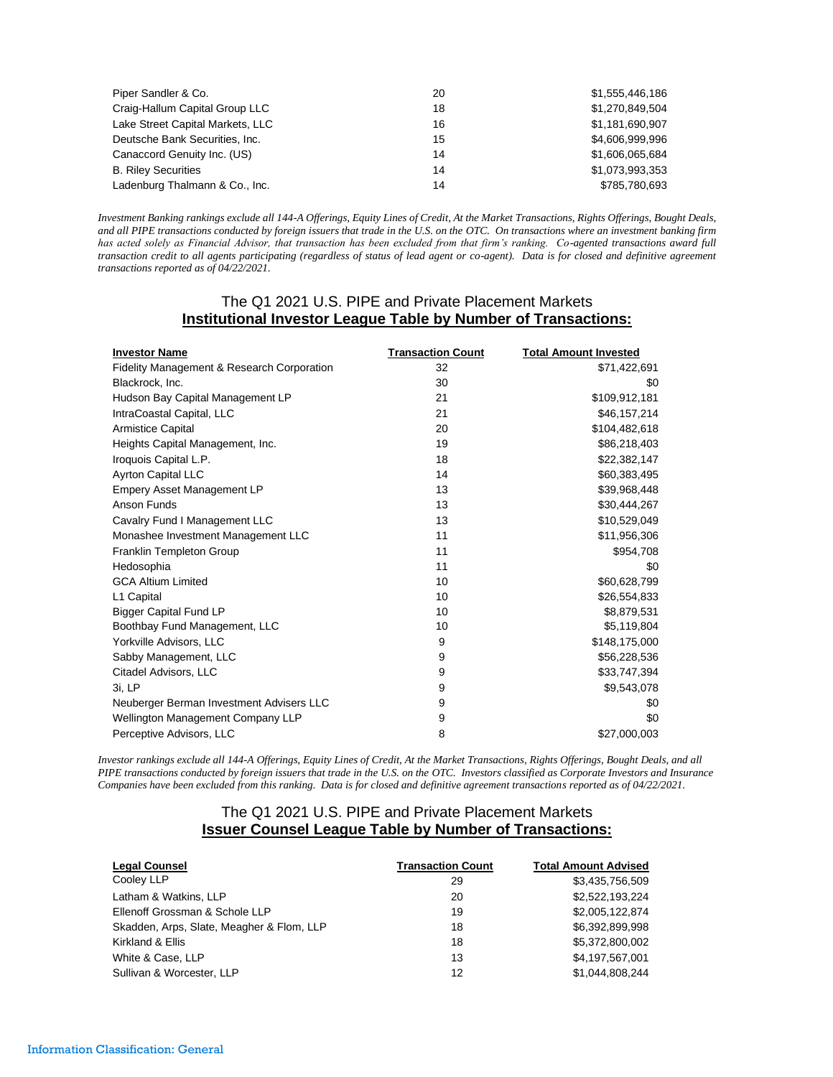| Piper Sandler & Co.              | 20 | \$1,555,446,186 |
|----------------------------------|----|-----------------|
| Craig-Hallum Capital Group LLC   | 18 | \$1,270,849,504 |
| Lake Street Capital Markets, LLC | 16 | \$1,181,690,907 |
| Deutsche Bank Securities, Inc.   | 15 | \$4,606,999,996 |
| Canaccord Genuity Inc. (US)      | 14 | \$1,606,065,684 |
| <b>B. Riley Securities</b>       | 14 | \$1,073,993,353 |
| Ladenburg Thalmann & Co., Inc.   | 14 | \$785,780,693   |

*Investment Banking rankings exclude all 144-A Offerings, Equity Lines of Credit, At the Market Transactions, Rights Offerings, Bought Deals, and all PIPE transactions conducted by foreign issuers that trade in the U.S. on the OTC. On transactions where an investment banking firm has acted solely as Financial Advisor, that transaction has been excluded from that firm's ranking. Co-agented transactions award full transaction credit to all agents participating (regardless of status of lead agent or co-agent). Data is for closed and definitive agreement transactions reported as of 04/22/2021.*

## The Q1 2021 U.S. PIPE and Private Placement Markets **Institutional Investor League Table by Number of Transactions:**

| <b>Investor Name</b>                       | <b>Transaction Count</b> | <b>Total Amount Invested</b> |
|--------------------------------------------|--------------------------|------------------------------|
| Fidelity Management & Research Corporation | 32                       | \$71,422,691                 |
| Blackrock, Inc.                            | 30                       | \$0                          |
| Hudson Bay Capital Management LP           | 21                       | \$109,912,181                |
| IntraCoastal Capital, LLC                  | 21                       | \$46,157,214                 |
| <b>Armistice Capital</b>                   | 20                       | \$104,482,618                |
| Heights Capital Management, Inc.           | 19                       | \$86,218,403                 |
| Iroquois Capital L.P.                      | 18                       | \$22,382,147                 |
| Ayrton Capital LLC                         | 14                       | \$60,383,495                 |
| <b>Empery Asset Management LP</b>          | 13                       | \$39,968,448                 |
| Anson Funds                                | 13                       | \$30,444,267                 |
| Cavalry Fund I Management LLC              | 13                       | \$10,529,049                 |
| Monashee Investment Management LLC         | 11                       | \$11,956,306                 |
| Franklin Templeton Group                   | 11                       | \$954,708                    |
| Hedosophia                                 | 11                       | \$0                          |
| <b>GCA Altium Limited</b>                  | 10                       | \$60,628,799                 |
| L1 Capital                                 | 10                       | \$26,554,833                 |
| <b>Bigger Capital Fund LP</b>              | 10                       | \$8,879,531                  |
| Boothbay Fund Management, LLC              | 10                       | \$5,119,804                  |
| Yorkville Advisors, LLC                    | 9                        | \$148,175,000                |
| Sabby Management, LLC                      | 9                        | \$56,228,536                 |
| Citadel Advisors, LLC                      | 9                        | \$33,747,394                 |
| 3i. LP                                     | 9                        | \$9,543,078                  |
| Neuberger Berman Investment Advisers LLC   | 9                        | \$0                          |
| Wellington Management Company LLP          | 9                        | \$0                          |
| Perceptive Advisors, LLC                   | 8                        | \$27,000,003                 |

*Investor rankings exclude all 144-A Offerings, Equity Lines of Credit, At the Market Transactions, Rights Offerings, Bought Deals, and all PIPE transactions conducted by foreign issuers that trade in the U.S. on the OTC. Investors classified as Corporate Investors and Insurance Companies have been excluded from this ranking. Data is for closed and definitive agreement transactions reported as of 04/22/2021.*

## The Q1 2021 U.S. PIPE and Private Placement Markets **Issuer Counsel League Table by Number of Transactions:**

| <b>Legal Counsel</b>                      | <b>Transaction Count</b> | <b>Total Amount Advised</b> |
|-------------------------------------------|--------------------------|-----------------------------|
| Cooley LLP                                | 29                       | \$3,435,756,509             |
| Latham & Watkins, LLP                     | 20                       | \$2,522,193,224             |
| Ellenoff Grossman & Schole LLP            | 19                       | \$2,005,122,874             |
| Skadden, Arps, Slate, Meagher & Flom, LLP | 18                       | \$6,392,899,998             |
| Kirkland & Ellis                          | 18                       | \$5,372,800,002             |
| White & Case, LLP                         | 13                       | \$4,197,567,001             |
| Sullivan & Worcester, LLP                 | 12                       | \$1.044.808.244             |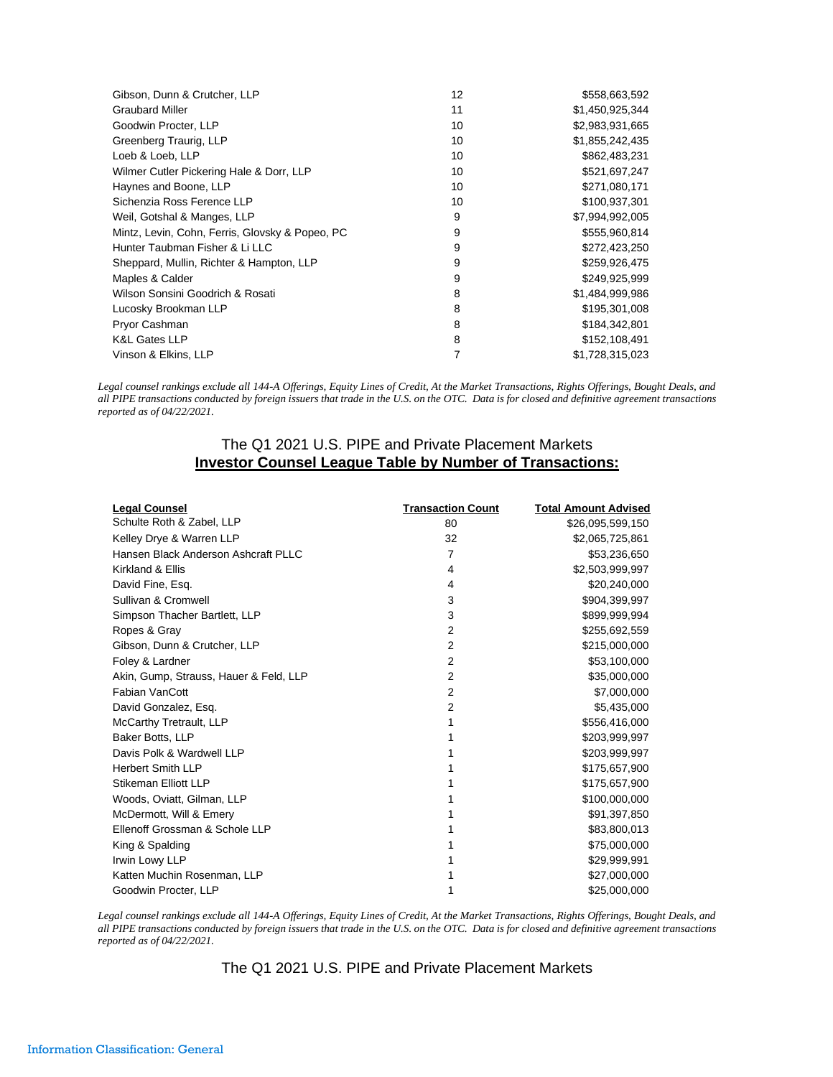| Gibson, Dunn & Crutcher, LLP                    | 12 | \$558,663,592   |
|-------------------------------------------------|----|-----------------|
| <b>Graubard Miller</b>                          | 11 | \$1.450.925.344 |
| Goodwin Procter, LLP                            | 10 | \$2,983,931,665 |
| Greenberg Traurig, LLP                          | 10 | \$1,855,242,435 |
| Loeb & Loeb. LLP                                | 10 | \$862,483,231   |
| Wilmer Cutler Pickering Hale & Dorr, LLP        | 10 | \$521,697,247   |
| Haynes and Boone, LLP                           | 10 | \$271,080,171   |
| Sichenzia Ross Ference LLP                      | 10 | \$100,937,301   |
| Weil, Gotshal & Manges, LLP                     | 9  | \$7,994,992,005 |
| Mintz, Levin, Cohn, Ferris, Glovsky & Popeo, PC | 9  | \$555,960,814   |
| Hunter Taubman Fisher & Li LLC                  | 9  | \$272,423,250   |
| Sheppard, Mullin, Richter & Hampton, LLP        | 9  | \$259,926,475   |
| Maples & Calder                                 | 9  | \$249,925,999   |
| Wilson Sonsini Goodrich & Rosati                | 8  | \$1,484,999,986 |
| Lucosky Brookman LLP                            | 8  | \$195,301,008   |
| Pryor Cashman                                   | 8  | \$184,342,801   |
| <b>K&amp;L Gates LLP</b>                        | 8  | \$152,108,491   |
| Vinson & Elkins, LLP                            |    | \$1,728,315,023 |

*Legal counsel rankings exclude all 144-A Offerings, Equity Lines of Credit, At the Market Transactions, Rights Offerings, Bought Deals, and all PIPE transactions conducted by foreign issuers that trade in the U.S. on the OTC. Data is for closed and definitive agreement transactions reported as of 04/22/2021.*

# The Q1 2021 U.S. PIPE and Private Placement Markets **Investor Counsel League Table by Number of Transactions:**

| <b>Legal Counsel</b>                   | <b>Transaction Count</b> | <b>Total Amount Advised</b> |
|----------------------------------------|--------------------------|-----------------------------|
| Schulte Roth & Zabel, LLP              | 80                       | \$26,095,599,150            |
| Kelley Drye & Warren LLP               | 32                       | \$2,065,725,861             |
| Hansen Black Anderson Ashcraft PLLC    | 7                        | \$53,236,650                |
| Kirkland & Ellis                       | 4                        | \$2,503,999,997             |
| David Fine, Esq.                       | 4                        | \$20,240,000                |
| Sullivan & Cromwell                    | 3                        | \$904,399,997               |
| Simpson Thacher Bartlett, LLP          | 3                        | \$899,999,994               |
| Ropes & Gray                           | 2                        | \$255,692,559               |
| Gibson, Dunn & Crutcher, LLP           | $\overline{2}$           | \$215,000,000               |
| Foley & Lardner                        | 2                        | \$53,100,000                |
| Akin, Gump, Strauss, Hauer & Feld, LLP | 2                        | \$35,000,000                |
| Fabian VanCott                         | $\overline{2}$           | \$7,000,000                 |
| David Gonzalez, Esq.                   | $\overline{2}$           | \$5,435,000                 |
| McCarthy Tretrault, LLP                | 1                        | \$556,416,000               |
| Baker Botts, LLP                       |                          | \$203,999,997               |
| Davis Polk & Wardwell LLP              |                          | \$203,999,997               |
| <b>Herbert Smith LLP</b>               |                          | \$175,657,900               |
| Stikeman Elliott LLP                   |                          | \$175,657,900               |
| Woods, Oviatt, Gilman, LLP             |                          | \$100,000,000               |
| McDermott, Will & Emery                |                          | \$91,397,850                |
| Ellenoff Grossman & Schole LLP         |                          | \$83,800,013                |
| King & Spalding                        |                          | \$75,000,000                |
| Irwin Lowy LLP                         |                          | \$29,999,991                |
| Katten Muchin Rosenman, LLP            |                          | \$27,000,000                |
| Goodwin Procter, LLP                   |                          | \$25,000,000                |

*Legal counsel rankings exclude all 144-A Offerings, Equity Lines of Credit, At the Market Transactions, Rights Offerings, Bought Deals, and all PIPE transactions conducted by foreign issuers that trade in the U.S. on the OTC. Data is for closed and definitive agreement transactions reported as of 04/22/2021.*

The Q1 2021 U.S. PIPE and Private Placement Markets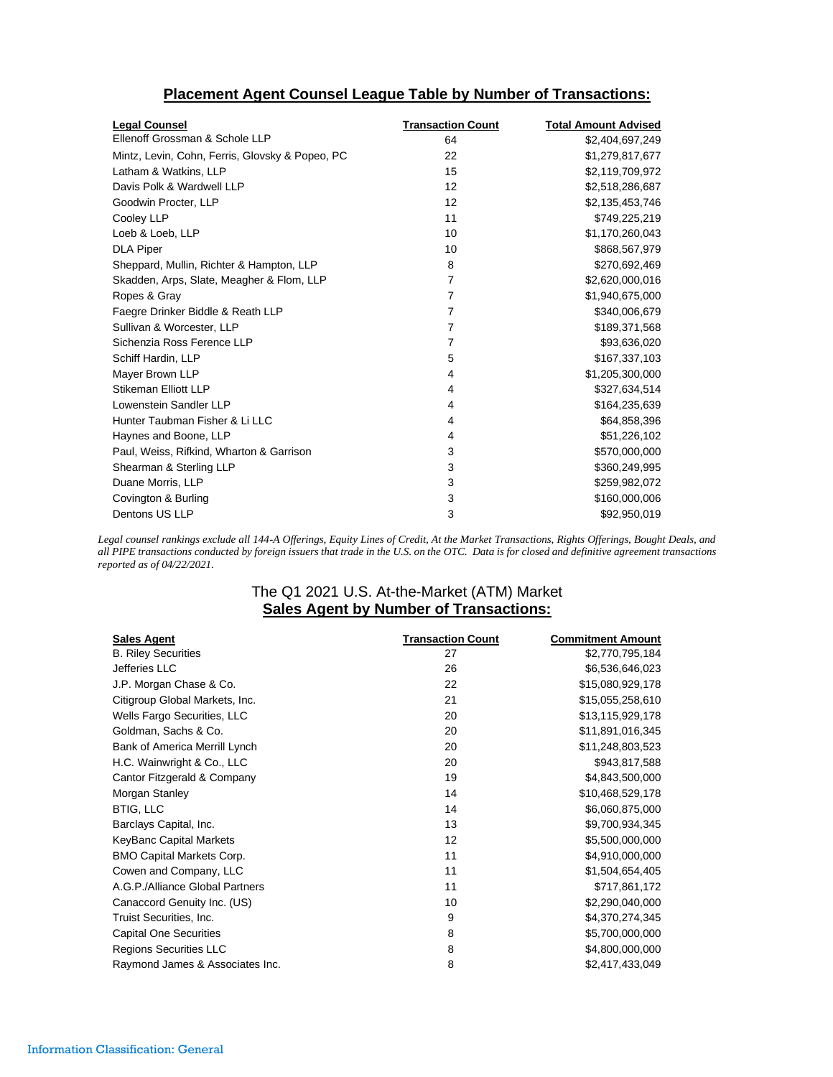## **Placement Agent Counsel League Table by Number of Transactions:**

| <b>Legal Counsel</b>                            | <b>Transaction Count</b> | <b>Total Amount Advised</b> |
|-------------------------------------------------|--------------------------|-----------------------------|
| Ellenoff Grossman & Schole LLP                  | 64                       | \$2,404,697,249             |
| Mintz, Levin, Cohn, Ferris, Glovsky & Popeo, PC | 22                       | \$1,279,817,677             |
| Latham & Watkins, LLP                           | 15                       | \$2,119,709,972             |
| Davis Polk & Wardwell LLP                       | 12                       | \$2,518,286,687             |
| Goodwin Procter, LLP                            | 12                       | \$2,135,453,746             |
| Cooley LLP                                      | 11                       | \$749,225,219               |
| Loeb & Loeb, LLP                                | 10                       | \$1,170,260,043             |
| <b>DLA Piper</b>                                | 10                       | \$868,567,979               |
| Sheppard, Mullin, Richter & Hampton, LLP        | 8                        | \$270,692,469               |
| Skadden, Arps, Slate, Meagher & Flom, LLP       | 7                        | \$2,620,000,016             |
| Ropes & Gray                                    | 7                        | \$1,940,675,000             |
| Faegre Drinker Biddle & Reath LLP               | 7                        | \$340,006,679               |
| Sullivan & Worcester, LLP                       | $\overline{7}$           | \$189,371,568               |
| Sichenzia Ross Ference LLP                      | 7                        | \$93,636,020                |
| Schiff Hardin, LLP                              | 5                        | \$167,337,103               |
| Mayer Brown LLP                                 | 4                        | \$1,205,300,000             |
| Stikeman Elliott LLP                            | 4                        | \$327,634,514               |
| Lowenstein Sandler LLP                          | 4                        | \$164,235,639               |
| Hunter Taubman Fisher & Li LLC                  | 4                        | \$64,858,396                |
| Haynes and Boone, LLP                           | 4                        | \$51,226,102                |
| Paul, Weiss, Rifkind, Wharton & Garrison        | 3                        | \$570,000,000               |
| Shearman & Sterling LLP                         | 3                        | \$360,249,995               |
| Duane Morris, LLP                               | 3                        | \$259,982,072               |
| Covington & Burling                             | 3                        | \$160,000,006               |
| Dentons US LLP                                  | 3                        | \$92,950,019                |

*Legal counsel rankings exclude all 144-A Offerings, Equity Lines of Credit, At the Market Transactions, Rights Offerings, Bought Deals, and all PIPE transactions conducted by foreign issuers that trade in the U.S. on the OTC. Data is for closed and definitive agreement transactions reported as of 04/22/2021.*

## The Q1 2021 U.S. At-the-Market (ATM) Market **Sales Agent by Number of Transactions:**

| <b>Sales Agent</b>               | <b>Transaction Count</b> | <b>Commitment Amount</b> |
|----------------------------------|--------------------------|--------------------------|
| <b>B. Riley Securities</b>       | 27                       | \$2,770,795,184          |
| Jefferies LLC                    | 26                       | \$6,536,646,023          |
| J.P. Morgan Chase & Co.          | 22                       | \$15,080,929,178         |
| Citigroup Global Markets, Inc.   | 21                       | \$15,055,258,610         |
| Wells Fargo Securities, LLC      | 20                       | \$13,115,929,178         |
| Goldman, Sachs & Co.             | 20                       | \$11,891,016,345         |
| Bank of America Merrill Lynch    | 20                       | \$11,248,803,523         |
| H.C. Wainwright & Co., LLC       | 20                       | \$943,817,588            |
| Cantor Fitzgerald & Company      | 19                       | \$4,843,500,000          |
| Morgan Stanley                   | 14                       | \$10,468,529,178         |
| <b>BTIG, LLC</b>                 | 14                       | \$6,060,875,000          |
| Barclays Capital, Inc.           | 13                       | \$9,700,934,345          |
| KeyBanc Capital Markets          | 12                       | \$5,500,000,000          |
| <b>BMO Capital Markets Corp.</b> | 11                       | \$4,910,000,000          |
| Cowen and Company, LLC           | 11                       | \$1,504,654,405          |
| A.G.P./Alliance Global Partners  | 11                       | \$717,861,172            |
| Canaccord Genuity Inc. (US)      | 10                       | \$2,290,040,000          |
| Truist Securities, Inc.          | 9                        | \$4,370,274,345          |
| <b>Capital One Securities</b>    | 8                        | \$5,700,000,000          |
| <b>Regions Securities LLC</b>    | 8                        | \$4,800,000,000          |
| Raymond James & Associates Inc.  | 8                        | \$2,417,433,049          |